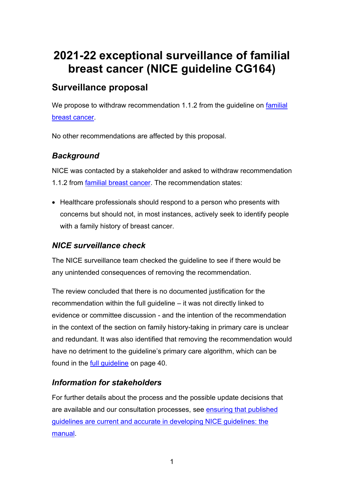# **2021-22 exceptional surveillance of familial breast cancer (NICE guideline CG164)**

## **Surveillance proposal**

We propose to withdraw recommendation 1.1.2 from the quideline on familial [breast cancer.](https://www.nice.org.uk/guidance/cg164)

No other recommendations are affected by this proposal.

#### *Background*

NICE was contacted by a stakeholder and asked to withdraw recommendation 1.1.2 from [familial breast cancer.](https://www.nice.org.uk/guidance/cg164) The recommendation states:

• Healthcare professionals should respond to a person who presents with concerns but should not, in most instances, actively seek to identify people with a family history of breast cancer.

## *NICE surveillance check*

The NICE surveillance team checked the guideline to see if there would be any unintended consequences of removing the recommendation.

The review concluded that there is no documented justification for the recommendation within the full guideline – it was not directly linked to evidence or committee discussion - and the intention of the recommendation in the context of the section on family history-taking in primary care is unclear and redundant. It was also identified that removing the recommendation would have no detriment to the guideline's primary care algorithm, which can be found in the [full guideline](https://www.nice.org.uk/guidance/cg164/evidence/full-guideline-pdf-190130941) on page 40.

#### *Information for stakeholders*

For further details about the process and the possible update decisions that are available and our consultation processes, see ensuring that published [guidelines are current and accurate in developing NICE guidelines: the](https://urldefense.com/v3/__https:/www.nice.org.uk/process/pmg20/chapter/ensuring-that-published-guidelines-are-current-and-accurate__;!!OL9ShTEEVu4!6f2LUiNr9NI1r4FxRDq7n2MEspBqxOPpdLCrddV9k7EiZWj6cr0e5pAyKSSdn_K2ITA17g$)  [manual.](https://urldefense.com/v3/__https:/www.nice.org.uk/process/pmg20/chapter/ensuring-that-published-guidelines-are-current-and-accurate__;!!OL9ShTEEVu4!6f2LUiNr9NI1r4FxRDq7n2MEspBqxOPpdLCrddV9k7EiZWj6cr0e5pAyKSSdn_K2ITA17g$)